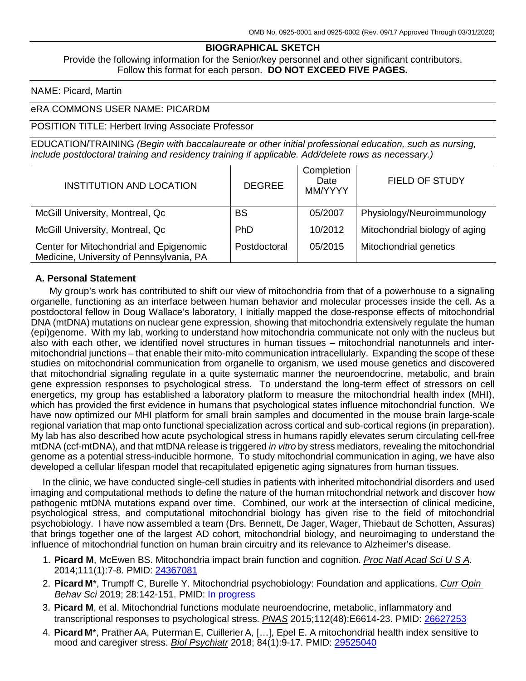#### **BIOGRAPHICAL SKETCH**

Provide the following information for the Senior/key personnel and other significant contributors. Follow this format for each person. **DO NOT EXCEED FIVE PAGES.**

NAME: Picard, Martin

#### eRA COMMONS USER NAME: PICARDM

#### POSITION TITLE: Herbert Irving Associate Professor

EDUCATION/TRAINING *(Begin with baccalaureate or other initial professional education, such as nursing, include postdoctoral training and residency training if applicable. Add/delete rows as necessary.)*

| <b>INSTITUTION AND LOCATION</b>                                                     | <b>DEGREE</b> | Completion<br>Date<br>MM/YYYY | <b>FIELD OF STUDY</b>          |
|-------------------------------------------------------------------------------------|---------------|-------------------------------|--------------------------------|
| McGill University, Montreal, Qc                                                     | <b>BS</b>     | 05/2007                       | Physiology/Neuroimmunology     |
| McGill University, Montreal, Qc                                                     | <b>PhD</b>    | 10/2012                       | Mitochondrial biology of aging |
| Center for Mitochondrial and Epigenomic<br>Medicine, University of Pennsylvania, PA | Postdoctoral  | 05/2015                       | Mitochondrial genetics         |

#### **A. Personal Statement**

My group's work has contributed to shift our view of mitochondria from that of a powerhouse to a signaling organelle, functioning as an interface between human behavior and molecular processes inside the cell. As a postdoctoral fellow in Doug Wallace's laboratory, I initially mapped the dose-response effects of mitochondrial DNA (mtDNA) mutations on nuclear gene expression, showing that mitochondria extensively regulate the human (epi)genome. With my lab, working to understand how mitochondria communicate not only with the nucleus but also with each other, we identified novel structures in human tissues – mitochondrial nanotunnels and intermitochondrial junctions – that enable their mito-mito communication intracellularly. Expanding the scope of these studies on mitochondrial communication from organelle to organism, we used mouse genetics and discovered that mitochondrial signaling regulate in a quite systematic manner the neuroendocrine, metabolic, and brain gene expression responses to psychological stress. To understand the long-term effect of stressors on cell energetics, my group has established a laboratory platform to measure the mitochondrial health index (MHI), which has provided the first evidence in humans that psychological states influence mitochondrial function. We have now optimized our MHI platform for small brain samples and documented in the mouse brain large-scale regional variation that map onto functional specialization across cortical and sub-cortical regions (in preparation). My lab has also described how acute psychological stress in humans rapidly elevates serum circulating cell-free mtDNA (ccf-mtDNA), and that mtDNA release is triggered *in vitro* by stress mediators, revealing the mitochondrial genome as a potential stress-inducible hormone. To study mitochondrial communication in aging, we have also developed a cellular lifespan model that recapitulated epigenetic aging signatures from human tissues.

In the clinic, we have conducted single-cell studies in patients with inherited mitochondrial disorders and used imaging and computational methods to define the nature of the human mitochondrial network and discover how pathogenic mtDNA mutations expand over time. Combined, our work at the intersection of clinical medicine, psychological stress, and computational mitochondrial biology has given rise to the field of mitochondrial psychobiology. I have now assembled a team (Drs. Bennett, De Jager, Wager, Thiebaut de Schotten, Assuras) that brings together one of the largest AD cohort, mitochondrial biology, and neuroimaging to understand the influence of mitochondrial function on human brain circuitry and its relevance to Alzheimer's disease.

- 1. **Picard M**, McEwen BS. Mitochondria impact brain function and cognition. *Proc Natl Acad Sci U S A*. 2014;111(1):7-8. PMID: [24367081](http://www.ncbi.nlm.nih.gov/pubmed/24367081/)
- 2. **Picard M**\*, Trumpff C, Burelle Y. Mitochondrial psychobiology: Foundation and applications. *Curr Opin Behav Sci* 2019; 28:142-151. PMID: In [progress](https://www.sciencedirect.com/science/article/pii/S2352154618301529)
- 3. **Picard M**, et al. Mitochondrial functions modulate neuroendocrine, metabolic, inflammatory and transcriptional responses to psychological stress. *PNAS* 2015;112(48):E6614-23. PMID: [26627253](http://www.ncbi.nlm.nih.gov/pubmed/?term=26627253)
- 4. **Picard M**\*, Prather AA, PutermanE, Cuillerier A, […], Epel E. A mitochondrial health index sensitive to mood and caregiver stress. *Biol Psychiatr* 2018; 84(1):9-17. PMID: [29525040](https://www.ncbi.nlm.nih.gov/pubmed/29525040)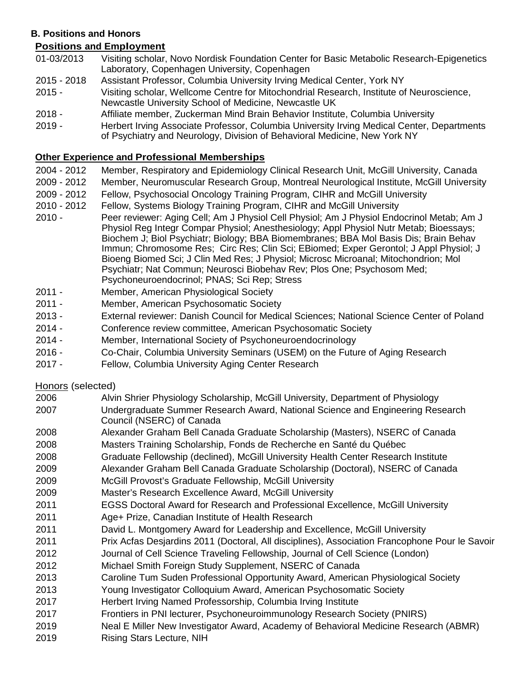## **B. Positions and Honors**

# **Positions and Employment**

- 01-03/2013 Visiting scholar, Novo Nordisk Foundation Center for Basic Metabolic Research-Epigenetics Laboratory, Copenhagen University, Copenhagen
- 2015 2018 Assistant Professor, Columbia University Irving Medical Center, York NY
- 2015 Visiting scholar, Wellcome Centre for Mitochondrial Research, Institute of Neuroscience, Newcastle University School of Medicine, Newcastle UK
- 2018 Affiliate member, Zuckerman Mind Brain Behavior Institute, Columbia University
- 2019 Herbert Irving Associate Professor, Columbia University Irving Medical Center, Departments of Psychiatry and Neurology, Division of Behavioral Medicine, New York NY

## **Other Experience and Professional Memberships**

- 2004 2012 Member, Respiratory and Epidemiology Clinical Research Unit, McGill University, Canada
- 2009 2012 Member, Neuromuscular Research Group, Montreal Neurological Institute, McGill University
- 2009 2012 Fellow, Psychosocial Oncology Training Program, CIHR and McGill University
- 2010 2012 Fellow, Systems Biology Training Program, CIHR and McGill University
- 2010 Peer reviewer: Aging Cell; Am J Physiol Cell Physiol; Am J Physiol Endocrinol Metab; Am J Physiol Reg Integr Compar Physiol; Anesthesiology; Appl Physiol Nutr Metab; Bioessays; Biochem J; Biol Psychiatr; Biology; BBA Biomembranes; BBA Mol Basis Dis; Brain Behav Immun; Chromosome Res; Circ Res; Clin Sci; EBiomed; Exper Gerontol; J Appl Physiol; J Bioeng Biomed Sci; J Clin Med Res; J Physiol; Microsc Microanal; Mitochondrion; Mol Psychiatr; Nat Commun; Neurosci Biobehav Rev; Plos One; Psychosom Med; Psychoneuroendocrinol; PNAS; Sci Rep; Stress
- 2011 Member, American Physiological Society
- 2011 Member, American Psychosomatic Society
- 2013 External reviewer: Danish Council for Medical Sciences; National Science Center of Poland
- 2014 Conference review committee, American Psychosomatic Society
- 2014 Member, International Society of Psychoneuroendocrinology
- 2016 Co-Chair, Columbia University Seminars (USEM) on the Future of Aging Research
- 2017 Fellow, Columbia University Aging Center Research

Honors (selected)

- 2006 Alvin Shrier Physiology Scholarship, McGill University, Department of Physiology
- 2007 Undergraduate Summer Research Award, National Science and Engineering Research Council (NSERC) of Canada
- 2008 Alexander Graham Bell Canada Graduate Scholarship (Masters), NSERC of Canada 2008 Masters Training Scholarship, Fonds de Recherche en Santé du Québec
- 2008 Graduate Fellowship (declined), McGill University Health Center Research Institute
- 2009 Alexander Graham Bell Canada Graduate Scholarship (Doctoral), NSERC of Canada
- 2009 McGill Provost's Graduate Fellowship, McGill University
- 2009 Master's Research Excellence Award, McGill University
- 2011 EGSS Doctoral Award for Research and Professional Excellence, McGill University
- 2011 Age+ Prize, Canadian Institute of Health Research
- 2011 David L. Montgomery Award for Leadership and Excellence, McGill University
- 2011 Prix Acfas Desjardins 2011 (Doctoral, All disciplines), Association Francophone Pour le Savoir
- 2012 Journal of Cell Science Traveling Fellowship, Journal of Cell Science (London)
- 2012 Michael Smith Foreign Study Supplement, NSERC of Canada
- 2013 Caroline Tum Suden Professional Opportunity Award, American Physiological Society
- 2013 Young Investigator Colloquium Award, American Psychosomatic Society
- 2017 Herbert Irving Named Professorship, Columbia Irving Institute
- 2017 Frontiers in PNI lecturer, Psychoneuroimmunology Research Society (PNIRS)
- 2019 Neal E Miller New Investigator Award, Academy of Behavioral Medicine Research (ABMR)
- 2019 Rising Stars Lecture, NIH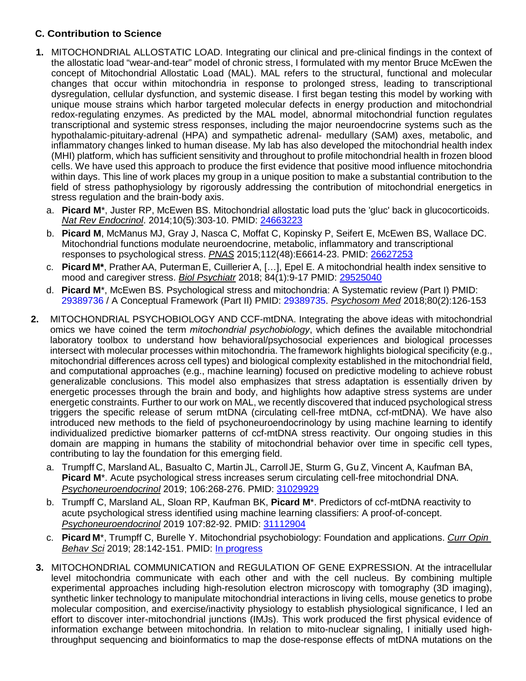## **C. Contribution to Science**

- **1.** MITOCHONDRIAL ALLOSTATIC LOAD. Integrating our clinical and pre-clinical findings in the context of the allostatic load "wear-and-tear" model of chronic stress, I formulated with my mentor Bruce McEwen the concept of Mitochondrial Allostatic Load (MAL). MAL refers to the structural, functional and molecular changes that occur within mitochondria in response to prolonged stress, leading to transcriptional dysregulation, cellular dysfunction, and systemic disease. I first began testing this model by working with unique mouse strains which harbor targeted molecular defects in energy production and mitochondrial redox-regulating enzymes. As predicted by the MAL model, abnormal mitochondrial function regulates transcriptional and systemic stress responses, including the major neuroendocrine systems such as the hypothalamic-pituitary-adrenal (HPA) and sympathetic adrenal- medullary (SAM) axes, metabolic, and inflammatory changes linked to human disease. My lab has also developed the mitochondrial health index (MHI) platform, which has sufficient sensitivity and throughout to profile mitochondrial health in frozen blood cells. We have used this approach to produce the first evidence that positive mood influence mitochondria within days. This line of work places my group in a unique position to make a substantial contribution to the field of stress pathophysiology by rigorously addressing the contribution of mitochondrial energetics in stress regulation and the brain-body axis.
	- a. **Picard M**\*, Juster RP, McEwen BS. Mitochondrial allostatic load puts the 'gluc' back in glucocorticoids. *Nat Rev Endocrinol*. 2014;10(5):303-10. PMID: [24663223](http://www.ncbi.nlm.nih.gov/pubmed/24663223/)
	- b. **Picard M**, McManus MJ, Gray J, Nasca C, Moffat C, Kopinsky P, Seifert E, McEwen BS, Wallace DC. Mitochondrial functions modulate neuroendocrine, metabolic, inflammatory and transcriptional responses to psychological stress. *PNAS* 2015;112(48):E6614-23. PMID: [26627253](http://www.ncbi.nlm.nih.gov/pubmed/?term=26627253)
	- c. **Picard M\***, Prather AA, PutermanE, Cuillerier A, […], Epel E. A mitochondrial health index sensitive to mood and caregiver stress. *Biol Psychiatr* 2018; 84(1):9-17 PMID: [29525040](https://www.ncbi.nlm.nih.gov/pubmed/29525040)
	- d. **Picard M**\*, McEwen BS. Psychological stress and mitochondria: A Systematic review (Part I) PMID: [29389736](https://www.ncbi.nlm.nih.gov/pubmed/29389736) / A Conceptual Framework (Part II) PMID: [29389735.](https://www.ncbi.nlm.nih.gov/pubmed/29389735) *Psychosom Med* 2018;80(2):126-153
- **2.** MITOCHONDRIAL PSYCHOBIOLOGY AND CCF-mtDNA. Integrating the above ideas with mitochondrial omics we have coined the term *mitochondrial psychobiology*, which defines the available mitochondrial laboratory toolbox to understand how behavioral/psychosocial experiences and biological processes intersect with molecular processes within mitochondria. The framework highlights biological specificity (e.g., mitochondrial differences across cell types) and biological complexity established in the mitochondrial field, and computational approaches (e.g., machine learning) focused on predictive modeling to achieve robust generalizable conclusions. This model also emphasizes that stress adaptation is essentially driven by energetic processes through the brain and body, and highlights how adaptive stress systems are under energetic constraints. Further to our work on MAL, we recently discovered that induced psychological stress triggers the specific release of serum mtDNA (circulating cell-free mtDNA, ccf-mtDNA). We have also introduced new methods to the field of psychoneuroendocrinology by using machine learning to identify individualized predictive biomarker patterns of ccf-mtDNA stress reactivity. Our ongoing studies in this domain are mapping in humans the stability of mitochondrial behavior over time in specific cell types, contributing to lay the foundation for this emerging field.
	- a. Trumpff C, Marsland AL, Basualto C, Martin JL, Carroll JE, Sturm G, Gu Z, Vincent A, Kaufman BA, **Picard M**\*. Acute psychological stress increases serum circulating cell-free mitochondrial DNA. *Psychoneuroendocrinol* 2019; 106:268-276. PMID: [31029929](https://www.ncbi.nlm.nih.gov/pubmed/31029929?dopt=Abstract)
	- b. Trumpff C, Marsland AL, Sloan RP, Kaufman BK, **Picard M**\*. Predictors of ccf-mtDNA reactivity to acute psychological stress identified using machine learning classifiers: A proof-of-concept. *Psychoneuroendocrinol* 2019 107:82-92. PMID: [31112904](https://www.ncbi.nlm.nih.gov/pubmed/31112904)
	- c. **Picard M**\*, Trumpff C, Burelle Y. Mitochondrial psychobiology: Foundation and applications. *Curr Opin Behav Sci* 2019; 28:142-151. PMID: In [progress](https://www.sciencedirect.com/science/article/pii/S2352154618301529)
- **3.** MITOCHONDRIAL COMMUNICATION and REGULATION OF GENE EXPRESSION. At the intracellular level mitochondria communicate with each other and with the cell nucleus. By combining multiple experimental approaches including high-resolution electron microscopy with tomography (3D imaging), synthetic linker technology to manipulate mitochondrial interactions in living cells, mouse genetics to probe molecular composition, and exercise/inactivity physiology to establish physiological significance, I led an effort to discover inter-mitochondrial junctions (IMJs). This work produced the first physical evidence of information exchange between mitochondria. In relation to mito-nuclear signaling, I initially used highthroughput sequencing and bioinformatics to map the dose-response effects of mtDNA mutations on the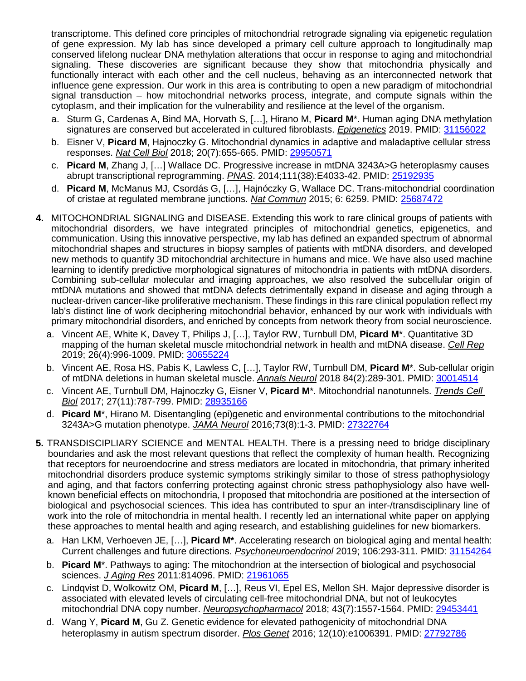transcriptome. This defined core principles of mitochondrial retrograde signaling via epigenetic regulation of gene expression. My lab has since developed a primary cell culture approach to longitudinally map conserved lifelong nuclear DNA methylation alterations that occur in response to aging and mitochondrial signaling. These discoveries are significant because they show that mitochondria physically and functionally interact with each other and the cell nucleus, behaving as an interconnected network that influence gene expression. Our work in this area is contributing to open a new paradigm of mitochondrial signal transduction – how mitochondrial networks process, integrate, and compute signals within the cytoplasm, and their implication for the vulnerability and resilience at the level of the organism.

- a. Sturm G, Cardenas A, Bind MA, Horvath S, […], Hirano M, **Picard M**\*. Human aging DNA methylation signatures are conserved but accelerated in cultured fibroblasts. *Epigenetics* 2019. PMID: [31156022](https://www.biorxiv.org/content/10.1101/605295v1)
- b. Eisner V, **Picard M**, Hajnoczky G. Mitochondrial dynamics in adaptive and maladaptive cellular stress responses. *Nat Cell Biol* 2018; 20(7):655-665. PMID: [29950571](https://www.ncbi.nlm.nih.gov/pubmed/29950571)
- c. **Picard M**, Zhang J, […] Wallace DC. Progressive increase in mtDNA 3243A>G heteroplasmy causes abrupt transcriptional reprogramming. *PNAS*. 2014;111(38):E4033-42. PMID: [25192935](http://www.ncbi.nlm.nih.gov/pubmed/25192935/)
- d. **Picard M**, McManus MJ, Csordás G, […], Hajnóczky G, Wallace DC. Trans-mitochondrial coordination of cristae at regulated membrane junctions. *Nat Commun* 2015; 6: 6259. PMID: [25687472](http://www.ncbi.nlm.nih.gov/pubmed/25687472/)
- **4.** MITOCHONDRIAL SIGNALING and DISEASE. Extending this work to rare clinical groups of patients with mitochondrial disorders, we have integrated principles of mitochondrial genetics, epigenetics, and communication. Using this innovative perspective, my lab has defined an expanded spectrum of abnormal mitochondrial shapes and structures in biopsy samples of patients with mtDNA disorders, and developed new methods to quantify 3D mitochondrial architecture in humans and mice. We have also used machine learning to identify predictive morphological signatures of mitochondria in patients with mtDNA disorders. Combining sub-cellular molecular and imaging approaches, we also resolved the subcellular origin of mtDNA mutations and showed that mtDNA defects detrimentally expand in disease and aging through a nuclear-driven cancer-like proliferative mechanism. These findings in this rare clinical population reflect my lab's distinct line of work deciphering mitochondrial behavior, enhanced by our work with individuals with primary mitochondrial disorders, and enriched by concepts from network theory from social neuroscience.
	- a. Vincent AE, White K, Davey T, Philips J, […], Taylor RW, Turnbull DM, **Picard M**\*. Quantitative 3D mapping of the human skeletal muscle mitochondrial network in health and mtDNA disease. *Cell Rep* 2019; 26(4):996-1009. PMID: [30655224](https://www.ncbi.nlm.nih.gov/pubmed/30655224)
	- b. Vincent AE, Rosa HS, Pabis K, Lawless C, […], Taylor RW, Turnbull DM, **Picard M**\*. Sub-cellular origin of mtDNA deletions in human skeletal muscle. *Annals Neurol* 2018 84(2):289-301. PMID: [30014514](https://www.ncbi.nlm.nih.gov/pubmed/30014514)
	- c. Vincent AE, Turnbull DM, Hajnoczky G, Eisner V, **Picard M**\*. Mitochondrial nanotunnels. *Trends Cell Biol* 2017; 27(11):787-799. PMID: [28935166](https://www.ncbi.nlm.nih.gov/pubmed/28935166)
	- d. **Picard M**\*, Hirano M. Disentangling (epi)genetic and environmental contributions to the mitochondrial 3243A>G mutation phenotype. *JAMA Neurol* 2016;73(8):1-3. PMID: [27322764](https://www.ncbi.nlm.nih.gov/pubmed/27322764)
- **5.** TRANSDISCIPLIARY SCIENCE and MENTAL HEALTH. There is a pressing need to bridge disciplinary boundaries and ask the most relevant questions that reflect the complexity of human health. Recognizing that receptors for neuroendocrine and stress mediators are located in mitochondria, that primary inherited mitochondrial disorders produce systemic symptoms strikingly similar to those of stress pathophysiology and aging, and that factors conferring protecting against chronic stress pathophysiology also have wellknown beneficial effects on mitochondria, I proposed that mitochondria are positioned at the intersection of biological and psychosocial sciences. This idea has contributed to spur an inter-/transdisciplinary line of work into the role of mitochondria in mental health. I recently led an international white paper on applying these approaches to mental health and aging research, and establishing guidelines for new biomarkers.
	- a. Han LKM, Verhoeven JE, […], **Picard M\***. Accelerating research on biological aging and mental health: Current challenges and future directions. *Psychoneuroendocrinol* 2019; 106:293-311. PMID: [31154264](https://www.ncbi.nlm.nih.gov/pubmed/31154264?dopt=Abstract)
	- b. **Picard M**\*. Pathways to aging: The mitochondrion at the intersection of biological and psychosocial sciences. *J Aging Res* 2011:814096. PMID: 21961065
	- c. Lindqvist D, Wolkowitz OM, **Picard M**, […], Reus VI, Epel ES, Mellon SH. Major depressive disorder is associated with elevated levels of circulating cell-free mitochondrial DNA, but not of leukocytes mitochondrial DNA copy number. *Neuropsychopharmacol* 2018; 43(7):1557-1564. PMID: [29453441](https://www.ncbi.nlm.nih.gov/pubmed/29453441)
	- d. Wang Y, **Picard M**, Gu Z. Genetic evidence for elevated pathogenicity of mitochondrial DNA heteroplasmy in autism spectrum disorder. *Plos Genet* 2016; 12(10):e1006391. PMID: [27792786](https://www.ncbi.nlm.nih.gov/pubmed/27792786)